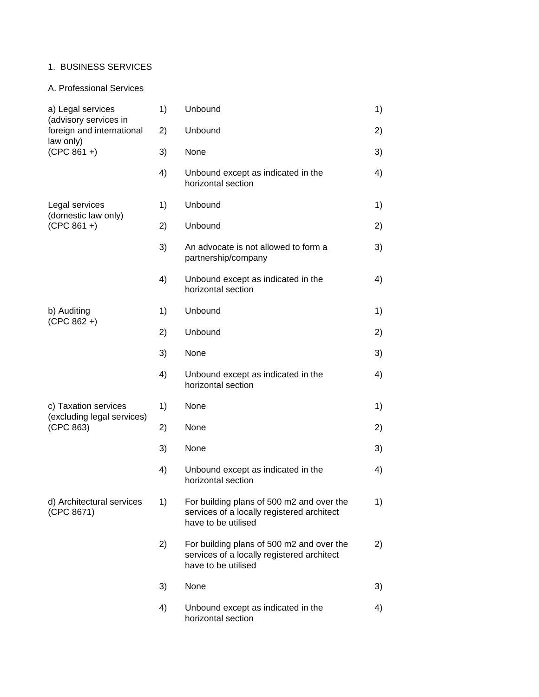## 1. BUSINESS SERVICES

## A. Professional Services

| a) Legal services<br>(advisory services in | 1) | Unbound                                                                                                        | 1) |
|--------------------------------------------|----|----------------------------------------------------------------------------------------------------------------|----|
| foreign and international<br>law only)     | 2) | Unbound                                                                                                        | 2) |
| $(CPC 861 + )$                             | 3) | None                                                                                                           | 3) |
|                                            | 4) | Unbound except as indicated in the<br>horizontal section                                                       | 4) |
| Legal services<br>(domestic law only)      | 1) | Unbound                                                                                                        | 1) |
| $(CPC 861 + )$                             | 2) | Unbound                                                                                                        | 2) |
|                                            | 3) | An advocate is not allowed to form a<br>partnership/company                                                    | 3) |
|                                            | 4) | Unbound except as indicated in the<br>horizontal section                                                       | 4) |
| b) Auditing                                | 1) | Unbound                                                                                                        | 1) |
| $(CPC 862 + )$                             | 2) | Unbound                                                                                                        | 2) |
|                                            | 3) | None                                                                                                           | 3) |
|                                            | 4) | Unbound except as indicated in the<br>horizontal section                                                       | 4) |
| c) Taxation services                       | 1) | None                                                                                                           | 1) |
| (excluding legal services)<br>(CPC 863)    | 2) | None                                                                                                           | 2) |
|                                            | 3) | None                                                                                                           | 3) |
|                                            | 4) | Unbound except as indicated in the<br>horizontal section                                                       | 4) |
| d) Architectural services<br>(CPC 8671)    | 1) | For building plans of 500 m2 and over the<br>services of a locally registered architect<br>have to be utilised | 1) |
|                                            | 2) | For building plans of 500 m2 and over the<br>services of a locally registered architect<br>have to be utilised | 2) |
|                                            | 3) | None                                                                                                           | 3) |
|                                            | 4) | Unbound except as indicated in the<br>horizontal section                                                       | 4) |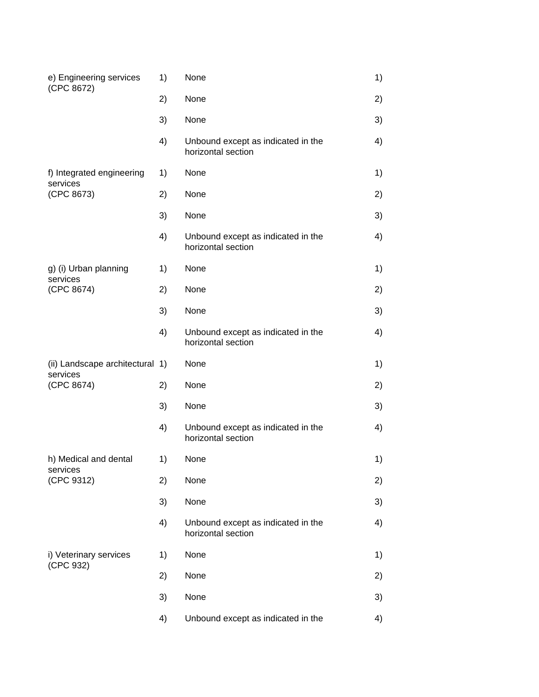| e) Engineering services<br>(CPC 8672) | 1) | None                                                     | 1) |
|---------------------------------------|----|----------------------------------------------------------|----|
|                                       | 2) | None                                                     | 2) |
|                                       | 3) | None                                                     | 3) |
|                                       | 4) | Unbound except as indicated in the<br>horizontal section | 4) |
| f) Integrated engineering<br>services | 1) | None                                                     | 1) |
| (CPC 8673)                            | 2) | None                                                     | 2) |
|                                       | 3) | None                                                     | 3) |
|                                       | 4) | Unbound except as indicated in the<br>horizontal section | 4) |
| g) (i) Urban planning                 | 1) | None                                                     | 1) |
| services<br>(CPC 8674)                | 2) | None                                                     | 2) |
|                                       | 3) | None                                                     | 3) |
|                                       | 4) | Unbound except as indicated in the<br>horizontal section | 4) |
| (ii) Landscape architectural 1)       |    | None                                                     | 1) |
| services<br>(CPC 8674)                | 2) | None                                                     | 2) |
|                                       | 3) | None                                                     | 3) |
|                                       | 4) | Unbound except as indicated in the<br>horizontal section | 4) |
| h) Medical and dental                 | 1) | None                                                     | 1) |
| services<br>(CPC 9312)                | 2) | None                                                     | 2) |
|                                       | 3) | None                                                     | 3) |
|                                       | 4) | Unbound except as indicated in the<br>horizontal section | 4) |
| i) Veterinary services                | 1) | None                                                     | 1) |
| (CPC 932)                             | 2) | None                                                     | 2) |
|                                       | 3) | None                                                     | 3) |
|                                       | 4) | Unbound except as indicated in the                       | 4) |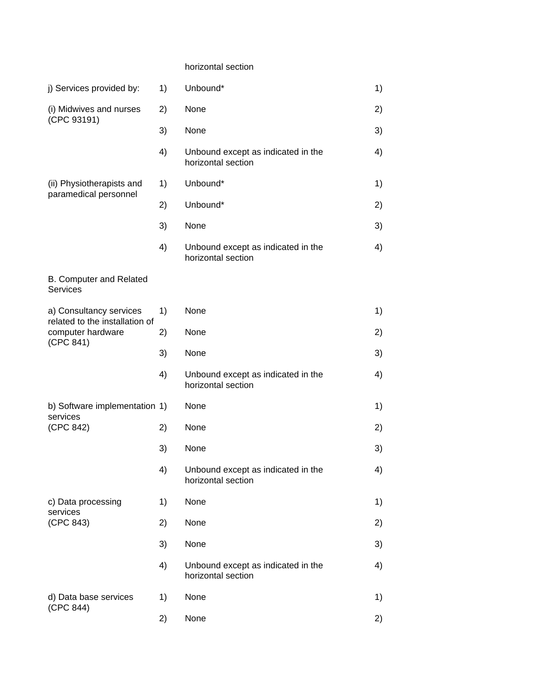### horizontal section

| j) Services provided by:                                  | 1) | Unbound*                                                 | 1) |
|-----------------------------------------------------------|----|----------------------------------------------------------|----|
| (i) Midwives and nurses                                   | 2) | None                                                     | 2) |
| (CPC 93191)                                               | 3) | None                                                     | 3) |
|                                                           | 4) | Unbound except as indicated in the<br>horizontal section | 4) |
| (ii) Physiotherapists and<br>paramedical personnel        | 1) | Unbound*                                                 | 1) |
|                                                           | 2) | Unbound*                                                 | 2) |
|                                                           | 3) | None                                                     | 3) |
|                                                           | 4) | Unbound except as indicated in the<br>horizontal section | 4) |
| B. Computer and Related<br><b>Services</b>                |    |                                                          |    |
| a) Consultancy services<br>related to the installation of | 1) | None                                                     | 1) |
| computer hardware<br>(CPC 841)                            | 2) | None                                                     | 2) |
|                                                           | 3) | None                                                     | 3) |
|                                                           | 4) | Unbound except as indicated in the<br>horizontal section | 4) |
| b) Software implementation 1)<br>services                 |    | None                                                     | 1) |
| (CPC 842)                                                 | 2) | None                                                     | 2) |
|                                                           | 3) | None                                                     | 3) |
|                                                           | 4) | Unbound except as indicated in the<br>horizontal section | 4) |
| c) Data processing<br>services                            | 1) | None                                                     | 1) |
| (CPC 843)                                                 | 2) | None                                                     | 2) |
|                                                           | 3) | None                                                     | 3) |
|                                                           | 4) | Unbound except as indicated in the<br>horizontal section | 4) |
| d) Data base services                                     | 1) | None                                                     | 1) |
| (CPC 844)                                                 | 2) | None                                                     | 2) |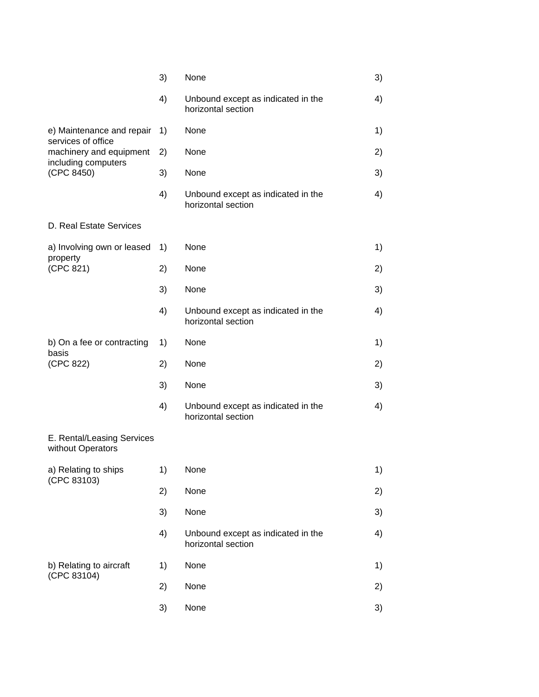|                                                 | 3) | None                                                     | 3) |
|-------------------------------------------------|----|----------------------------------------------------------|----|
|                                                 | 4) | Unbound except as indicated in the<br>horizontal section | 4) |
| e) Maintenance and repair<br>services of office | 1) | None                                                     | 1) |
| machinery and equipment<br>including computers  | 2) | None                                                     | 2) |
| (CPC 8450)                                      | 3) | None                                                     | 3) |
|                                                 | 4) | Unbound except as indicated in the<br>horizontal section | 4) |
| D. Real Estate Services                         |    |                                                          |    |
| a) Involving own or leased<br>property          | 1) | None                                                     | 1) |
| (CPC 821)                                       | 2) | None                                                     | 2) |
|                                                 | 3) | None                                                     | 3) |
|                                                 | 4) | Unbound except as indicated in the<br>horizontal section | 4) |
| b) On a fee or contracting<br>basis             | 1) | None                                                     | 1) |
| (CPC 822)                                       | 2) | None                                                     | 2) |
|                                                 | 3) | None                                                     | 3) |
|                                                 | 4) | Unbound except as indicated in the<br>horizontal section | 4) |
| E. Rental/Leasing Services<br>without Operators |    |                                                          |    |
| a) Relating to ships<br>(CPC 83103)             | 1) | None                                                     | 1) |
|                                                 | 2) | None                                                     | 2) |
|                                                 | 3) | None                                                     | 3) |
|                                                 | 4) | Unbound except as indicated in the<br>horizontal section | 4) |
| b) Relating to aircraft<br>(CPC 83104)          | 1) | None                                                     | 1) |
|                                                 | 2) | None                                                     | 2) |
|                                                 | 3) | None                                                     | 3) |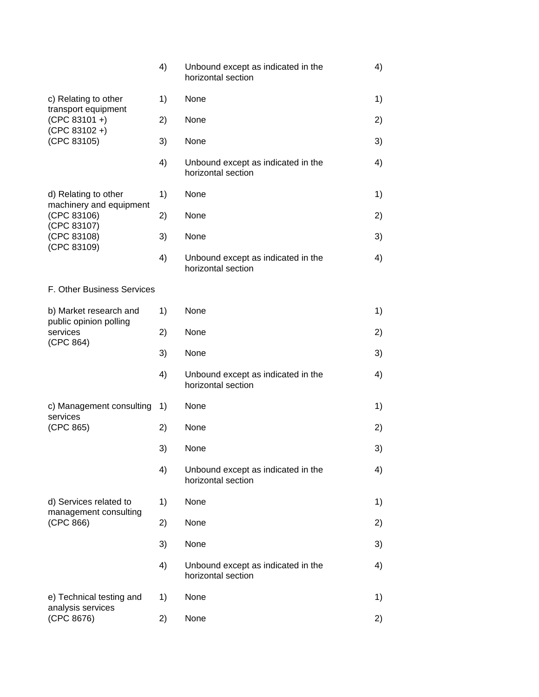|                                                 | 4) | Unbound except as indicated in the<br>horizontal section | 4) |
|-------------------------------------------------|----|----------------------------------------------------------|----|
| c) Relating to other<br>transport equipment     | 1) | None                                                     | 1) |
| $(CPC 83101 + )$<br>$(CPC 83102 + )$            | 2) | None                                                     | 2) |
| (CPC 83105)                                     | 3) | None                                                     | 3) |
|                                                 | 4) | Unbound except as indicated in the<br>horizontal section | 4) |
| d) Relating to other<br>machinery and equipment | 1) | None                                                     | 1) |
| (CPC 83106)                                     | 2) | None                                                     | 2) |
| (CPC 83107)<br>(CPC 83108)                      | 3) | None                                                     | 3) |
| (CPC 83109)                                     | 4) | Unbound except as indicated in the<br>horizontal section | 4) |
| F. Other Business Services                      |    |                                                          |    |
| b) Market research and                          | 1) | None                                                     | 1) |
| public opinion polling<br>services              | 2) | None                                                     | 2) |
| (CPC 864)                                       | 3) | None                                                     | 3) |
|                                                 | 4) | Unbound except as indicated in the<br>horizontal section | 4) |
| c) Management consulting                        | 1) | None                                                     | 1) |
| services<br>(CPC 865)                           | 2) | None                                                     | 2) |
|                                                 | 3) | None                                                     | 3) |
|                                                 | 4) | Unbound except as indicated in the<br>horizontal section | 4) |
| d) Services related to                          | 1) | None                                                     | 1) |
| management consulting<br>(CPC 866)              | 2) | None                                                     | 2) |
|                                                 | 3) | None                                                     | 3) |
|                                                 | 4) | Unbound except as indicated in the<br>horizontal section | 4) |
| e) Technical testing and                        | 1) | None                                                     | 1) |
| analysis services<br>(CPC 8676)                 | 2) | None                                                     | 2) |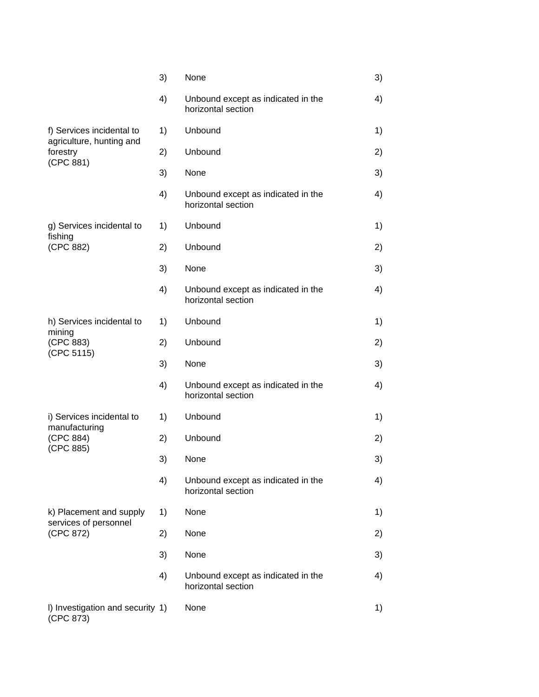|                                                   | 3) | None                                                     | 3) |
|---------------------------------------------------|----|----------------------------------------------------------|----|
|                                                   | 4) | Unbound except as indicated in the<br>horizontal section | 4) |
| f) Services incidental to                         | 1) | Unbound                                                  | 1) |
| agriculture, hunting and<br>forestry<br>(CPC 881) | 2) | Unbound                                                  | 2) |
|                                                   | 3) | None                                                     | 3) |
|                                                   | 4) | Unbound except as indicated in the<br>horizontal section | 4) |
| g) Services incidental to<br>fishing              | 1) | Unbound                                                  | 1) |
| (CPC 882)                                         | 2) | Unbound                                                  | 2) |
|                                                   | 3) | None                                                     | 3) |
|                                                   | 4) | Unbound except as indicated in the<br>horizontal section | 4) |
| h) Services incidental to<br>mining               | 1) | Unbound                                                  | 1) |
| (CPC 883)<br>(CPC 5115)                           | 2) | Unbound                                                  | 2) |
|                                                   | 3) | None                                                     | 3) |
|                                                   | 4) | Unbound except as indicated in the<br>horizontal section | 4) |
| i) Services incidental to<br>manufacturing        | 1) | Unbound                                                  | 1) |
| (CPC 884)<br>(CPC 885)                            | 2) | Unbound                                                  | 2) |
|                                                   | 3) | None                                                     | 3) |
|                                                   | 4) | Unbound except as indicated in the<br>horizontal section | 4) |
| k) Placement and supply<br>services of personnel  | 1) | None                                                     | 1) |
| (CPC 872)                                         | 2) | None                                                     | 2) |
|                                                   | 3) | None                                                     | 3) |
|                                                   | 4) | Unbound except as indicated in the<br>horizontal section | 4) |
| I) Investigation and security 1)<br>(CPC 873)     |    | None                                                     | 1) |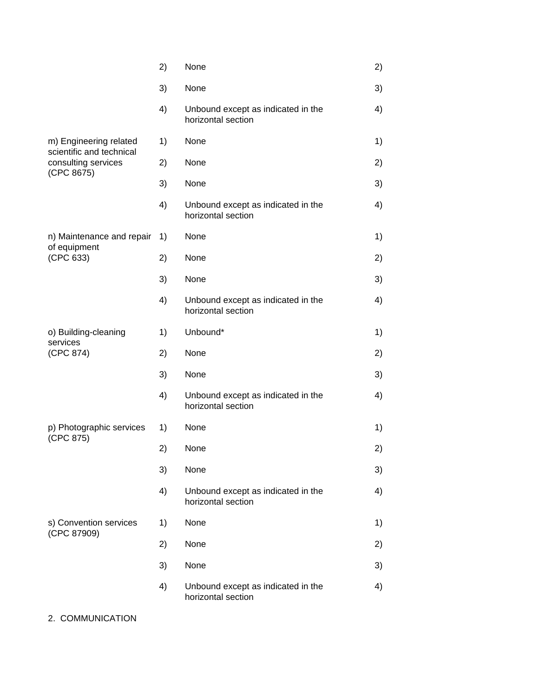|                                                    | 2) | None                                                     | 2) |
|----------------------------------------------------|----|----------------------------------------------------------|----|
|                                                    | 3) | None                                                     | 3) |
|                                                    | 4) | Unbound except as indicated in the<br>horizontal section | 4) |
| m) Engineering related<br>scientific and technical | 1) | None                                                     | 1) |
| consulting services<br>(CPC 8675)                  | 2) | None                                                     | 2) |
|                                                    | 3) | None                                                     | 3) |
|                                                    | 4) | Unbound except as indicated in the<br>horizontal section | 4) |
| n) Maintenance and repair<br>of equipment          | 1) | None                                                     | 1) |
| (CPC 633)                                          | 2) | None                                                     | 2) |
|                                                    | 3) | None                                                     | 3) |
|                                                    | 4) | Unbound except as indicated in the<br>horizontal section | 4) |
| o) Building-cleaning<br>services                   | 1) | Unbound*                                                 | 1) |
| (CPC 874)                                          | 2) | None                                                     | 2) |
|                                                    | 3) | None                                                     | 3) |
|                                                    | 4) | Unbound except as indicated in the<br>horizontal section | 4) |
| p) Photographic services                           | 1) | None                                                     | 1) |
| (CPC 875)                                          | 2) | None                                                     | 2) |
|                                                    | 3) | None                                                     | 3) |
|                                                    | 4) | Unbound except as indicated in the<br>horizontal section | 4) |
| s) Convention services                             | 1) | None                                                     | 1) |
| (CPC 87909)                                        | 2) | None                                                     | 2) |
|                                                    | 3) | None                                                     | 3) |
|                                                    | 4) | Unbound except as indicated in the<br>horizontal section | 4) |

# 2. COMMUNICATION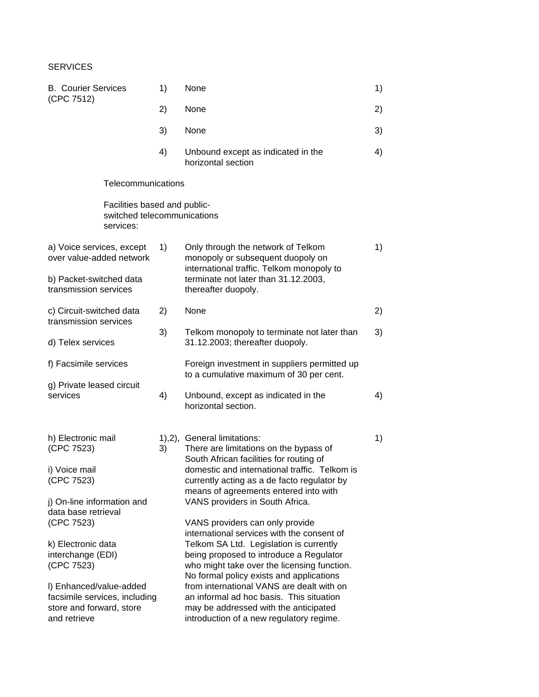### **SERVICES**

| <b>B. Courier Services</b><br>(CPC 7512)                            |                                                                          | 1) | None                                                                                                                                                                             | 1) |
|---------------------------------------------------------------------|--------------------------------------------------------------------------|----|----------------------------------------------------------------------------------------------------------------------------------------------------------------------------------|----|
|                                                                     |                                                                          | 2) | None                                                                                                                                                                             | 2) |
|                                                                     |                                                                          | 3) | None                                                                                                                                                                             | 3) |
|                                                                     |                                                                          | 4) | Unbound except as indicated in the<br>horizontal section                                                                                                                         | 4) |
|                                                                     | Telecommunications                                                       |    |                                                                                                                                                                                  |    |
|                                                                     | Facilities based and public-<br>switched telecommunications<br>services: |    |                                                                                                                                                                                  |    |
| a) Voice services, except<br>over value-added network               |                                                                          | 1) | Only through the network of Telkom<br>monopoly or subsequent duopoly on<br>international traffic. Telkom monopoly to                                                             | 1) |
| b) Packet-switched data<br>transmission services                    |                                                                          |    | terminate not later than 31.12.2003,<br>thereafter duopoly.                                                                                                                      |    |
| c) Circuit-switched data<br>transmission services                   |                                                                          | 2) | None                                                                                                                                                                             | 2) |
| d) Telex services                                                   |                                                                          | 3) | Telkom monopoly to terminate not later than<br>31.12.2003; thereafter duopoly.                                                                                                   | 3) |
| f) Facsimile services                                               |                                                                          |    | Foreign investment in suppliers permitted up<br>to a cumulative maximum of 30 per cent.                                                                                          |    |
| g) Private leased circuit<br>services                               |                                                                          | 4) | Unbound, except as indicated in the<br>horizontal section.                                                                                                                       | 4) |
| h) Electronic mail<br>(CPC 7523)                                    |                                                                          | 3) | 1),2), General limitations:<br>There are limitations on the bypass of                                                                                                            | 1) |
| i) Voice mail<br>(CPC 7523)                                         |                                                                          |    | South African facilities for routing of<br>domestic and international traffic. Telkom is<br>currently acting as a de facto regulator by<br>means of agreements entered into with |    |
| j) On-line information and<br>data base retrieval                   |                                                                          |    | VANS providers in South Africa.                                                                                                                                                  |    |
| (CPC 7523)                                                          |                                                                          |    | VANS providers can only provide<br>international services with the consent of                                                                                                    |    |
| k) Electronic data<br>interchange (EDI)<br>(CPC 7523)               |                                                                          |    | Telkom SA Ltd. Legislation is currently<br>being proposed to introduce a Regulator<br>who might take over the licensing function.<br>No formal policy exists and applications    |    |
| I) Enhanced/value-added<br>store and forward, store<br>and retrieve | facsimile services, including                                            |    | from international VANS are dealt with on<br>an informal ad hoc basis. This situation<br>may be addressed with the anticipated<br>introduction of a new regulatory regime.       |    |
|                                                                     |                                                                          |    |                                                                                                                                                                                  |    |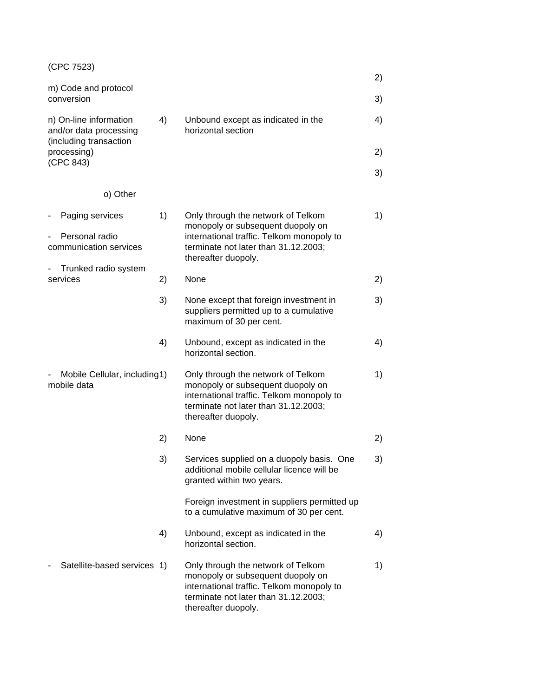| (CPC 7523)                                                                 |    |                                                                                                                                                                                     |    |
|----------------------------------------------------------------------------|----|-------------------------------------------------------------------------------------------------------------------------------------------------------------------------------------|----|
| m) Code and protocol                                                       |    |                                                                                                                                                                                     | 2) |
| conversion                                                                 |    |                                                                                                                                                                                     | 3) |
| n) On-line information<br>and/or data processing<br>(including transaction | 4) | Unbound except as indicated in the<br>horizontal section                                                                                                                            | 4) |
| processing)<br>(CPC 843)                                                   |    |                                                                                                                                                                                     | 2) |
| o) Other                                                                   |    |                                                                                                                                                                                     | 3) |
|                                                                            |    |                                                                                                                                                                                     |    |
| Paging services<br>$\qquad \qquad \blacksquare$                            | 1) | Only through the network of Telkom<br>monopoly or subsequent duopoly on                                                                                                             | 1) |
| Personal radio<br>communication services                                   |    | international traffic. Telkom monopoly to<br>terminate not later than 31.12.2003;<br>thereafter duopoly.                                                                            |    |
| Trunked radio system                                                       |    |                                                                                                                                                                                     |    |
| services                                                                   | 2) | None                                                                                                                                                                                | 2) |
|                                                                            | 3) | None except that foreign investment in<br>suppliers permitted up to a cumulative<br>maximum of 30 per cent.                                                                         | 3) |
|                                                                            | 4) | Unbound, except as indicated in the<br>horizontal section.                                                                                                                          | 4) |
| Mobile Cellular, including1)<br>mobile data                                |    | Only through the network of Telkom<br>monopoly or subsequent duopoly on<br>international traffic. Telkom monopoly to<br>terminate not later than 31.12.2003;<br>thereafter duopoly. | 1) |
|                                                                            | 2) | None                                                                                                                                                                                | 2) |
|                                                                            | 3) | Services supplied on a duopoly basis. One<br>additional mobile cellular licence will be<br>granted within two years.                                                                | 3) |
|                                                                            |    | Foreign investment in suppliers permitted up<br>to a cumulative maximum of 30 per cent.                                                                                             |    |
|                                                                            | 4) | Unbound, except as indicated in the<br>horizontal section.                                                                                                                          | 4) |
| Satellite-based services 1)                                                |    | Only through the network of Telkom<br>monopoly or subsequent duopoly on<br>international traffic. Telkom monopoly to<br>terminate not later than 31.12.2003;<br>thereafter duopoly. | 1) |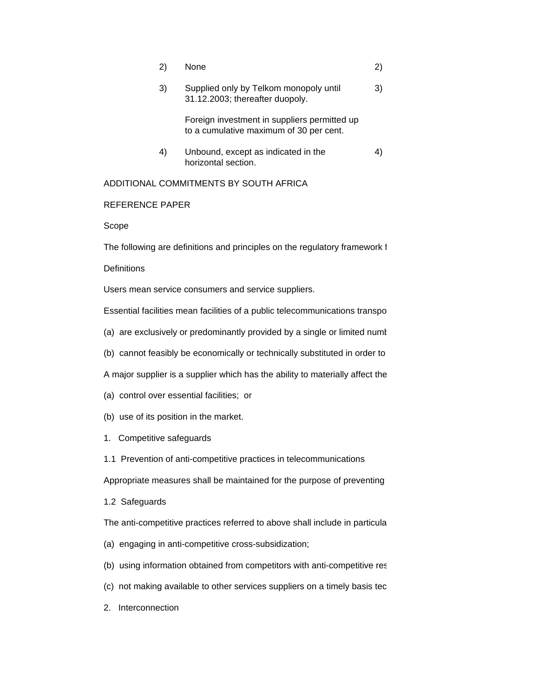| 2) | None                                                                                    | 2) |
|----|-----------------------------------------------------------------------------------------|----|
| 3) | Supplied only by Telkom monopoly until<br>31.12.2003; thereafter duopoly.               | 3) |
|    | Foreign investment in suppliers permitted up<br>to a cumulative maximum of 30 per cent. |    |
| 4) | Unbound, except as indicated in the<br>horizontal section.                              | 4) |
|    | ADDITIONAL COMMITMENTS BY SOUTH AFRICA                                                  |    |

#### REFERENCE PAPER

Scope

The following are definitions and principles on the regulatory framework 1

#### **Definitions**

Users mean service consumers and service suppliers.

Essential facilities mean facilities of a public telecommunications transpo

- (a) are exclusively or predominantly provided by a single or limited numt
- (b) cannot feasibly be economically or technically substituted in order to

A major supplier is a supplier which has the ability to materially affect the

- (a) control over essential facilities; or
- (b) use of its position in the market.
- 1. Competitive safeguards
- 1.1 Prevention of anti-competitive practices in telecommunications

Appropriate measures shall be maintained for the purpose of preventing

1.2 Safeguards

The anti-competitive practices referred to above shall include in particula

- (a) engaging in anti-competitive cross-subsidization;
- (b) using information obtained from competitors with anti-competitive res
- (c) not making available to other services suppliers on a timely basis tec
- 2. Interconnection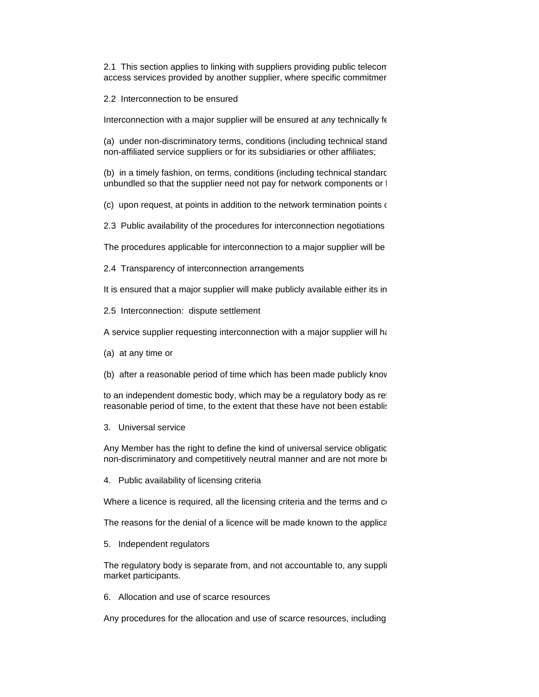2.1 This section applies to linking with suppliers providing public telecom access services provided by another supplier, where specific commitmer

2.2 Interconnection to be ensured

Interconnection with a major supplier will be ensured at any technically fe

(a) under non-discriminatory terms, conditions (including technical stand non-affiliated service suppliers or for its subsidiaries or other affiliates;

(b) in a timely fashion, on terms, conditions (including technical standardid rates that are termical rates that are t unbundled so that the supplier need not pay for network components or that it does not require for the service

(c) upon request, at points in addition to the network termination points of

2.3 Public availability of the procedures for interconnection negotiations

The procedures applicable for interconnection to a major supplier will be

2.4 Transparency of interconnection arrangements

It is ensured that a major supplier will make publicly available either its in

2.5 Interconnection: dispute settlement

A service supplier requesting interconnection with a major supplier will have recourse.

(a) at any time or

(b) after a reasonable period of time which has been made publicly know

to an independent domestic body, which may be a regulatory body as retrem 5 below, to respect to and rates reg reasonable period of time, to the extent that these have not been establish

3. Universal service

Any Member has the right to define the kind of universal service obligatic. non-discriminatory and competitively neutral manner and are not more by

4. Public availability of licensing criteria

Where a licence is required, all the licensing criteria and the terms and  $\alpha$ 

The reasons for the denial of a licence will be made known to the applica

5. Independent regulators

The regulatory body is separate from, and not accountable to, any suppli market participants.

6. Allocation and use of scarce resources

Any procedures for the allocation and use of scarce resources, including Any procedures for the allocation and use of scarce resources, including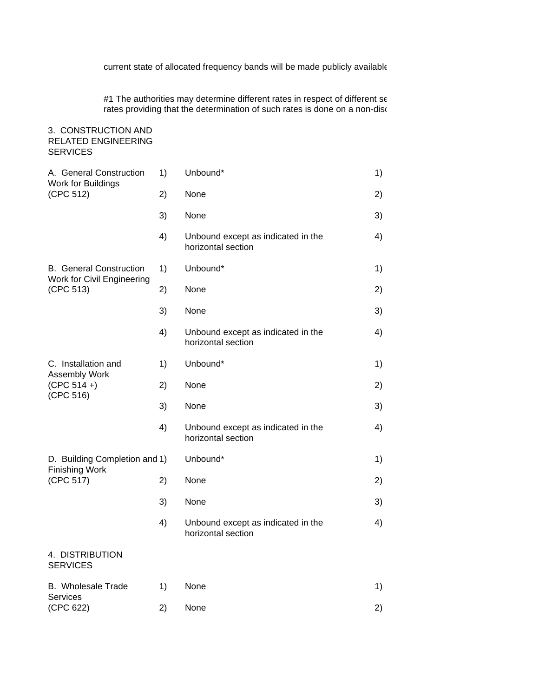current state of allocated frequency bands will be made publicly available

#1 The authorities may determine different rates in respect of different ser rates providing that the determination of such rates is done on a non-discrimination

### 3. CONSTRUCTION AND RELATED ENGINEERING **SERVICES**

| A. General Construction<br>Work for Buildings<br>(CPC 512) | 1) | Unbound*                                                 | 1) |
|------------------------------------------------------------|----|----------------------------------------------------------|----|
|                                                            | 2) | None                                                     | 2) |
|                                                            | 3) | None                                                     | 3) |
|                                                            | 4) | Unbound except as indicated in the<br>horizontal section | 4) |
| <b>B.</b> General Construction                             | 1) | Unbound*                                                 | 1) |
| Work for Civil Engineering<br>(CPC 513)                    | 2) | None                                                     | 2) |
|                                                            | 3) | None                                                     | 3) |
|                                                            | 4) | Unbound except as indicated in the<br>horizontal section | 4) |
| C. Installation and                                        | 1) | Unbound*                                                 | 1) |
| Assembly Work<br>$(CPC 514 + )$                            | 2) | None                                                     | 2) |
| (CPC 516)                                                  | 3) | None                                                     | 3) |
|                                                            | 4) | Unbound except as indicated in the<br>horizontal section | 4) |
| D. Building Completion and 1)                              |    | Unbound*                                                 | 1) |
| <b>Finishing Work</b><br>(CPC 517)                         | 2) | None                                                     | 2) |
|                                                            | 3) | None                                                     | 3) |
|                                                            | 4) | Unbound except as indicated in the<br>horizontal section | 4) |
| 4. DISTRIBUTION<br><b>SERVICES</b>                         |    |                                                          |    |
| B. Wholesale Trade                                         | 1) | None                                                     | 1) |
| <b>Services</b><br>(CPC 622)                               | 2) | None                                                     | 2) |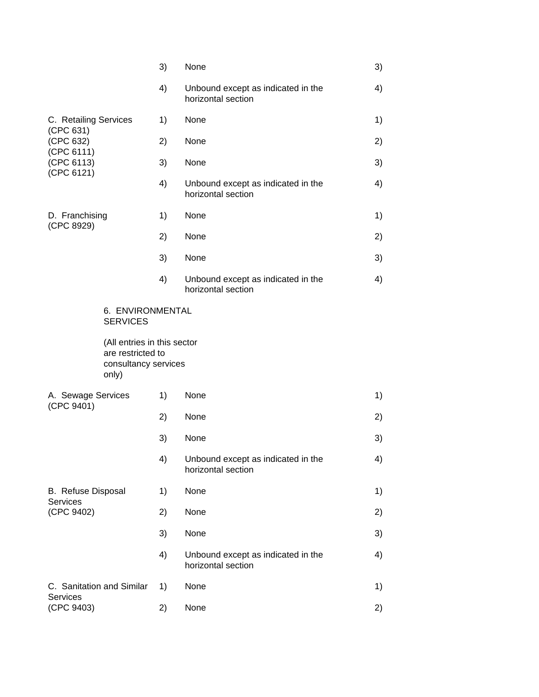|                                       |                                                  | 3) | None                                                     | 3) |
|---------------------------------------|--------------------------------------------------|----|----------------------------------------------------------|----|
|                                       |                                                  | 4) | Unbound except as indicated in the<br>horizontal section | 4) |
| C. Retailing Services                 |                                                  | 1) | None                                                     | 1) |
| (CPC 631)<br>(CPC 632)                |                                                  | 2) | None                                                     | 2) |
| (CPC 6111)<br>(CPC 6113)              |                                                  | 3) | None                                                     | 3) |
| (CPC 6121)                            |                                                  | 4) | Unbound except as indicated in the<br>horizontal section | 4) |
| D. Franchising<br>(CPC 8929)          |                                                  | 1) | None                                                     | 1) |
|                                       |                                                  | 2) | None                                                     | 2) |
|                                       |                                                  | 3) | None                                                     | 3) |
|                                       |                                                  | 4) | Unbound except as indicated in the<br>horizontal section | 4) |
|                                       | 6. ENVIRONMENTAL<br><b>SERVICES</b>              |    |                                                          |    |
|                                       | (All entries in this sector<br>are restricted to |    |                                                          |    |
|                                       | consultancy services<br>only)                    |    |                                                          |    |
| A. Sewage Services                    |                                                  | 1) | None                                                     | 1) |
| (CPC 9401)                            |                                                  | 2) | None                                                     | 2) |
|                                       |                                                  | 3) | None                                                     | 3) |
|                                       |                                                  | 4) | Unbound except as indicated in the<br>horizontal section | 4) |
| B. Refuse Disposal                    |                                                  | 1) | None                                                     | 1) |
| <b>Services</b><br>(CPC 9402)         |                                                  | 2) | None                                                     | 2) |
|                                       |                                                  | 3) | None                                                     | 3) |
|                                       |                                                  | 4) | Unbound except as indicated in the<br>horizontal section | 4) |
| C. Sanitation and Similar<br>Services |                                                  | 1) | None                                                     | 1) |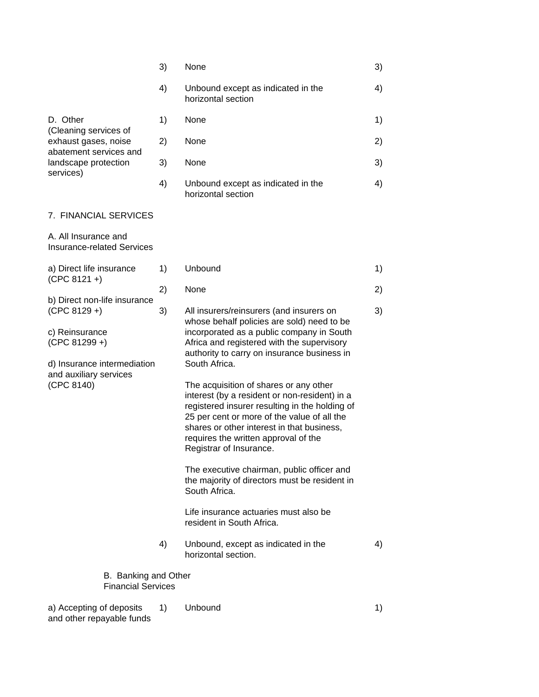|                                                                                                                                                              | 3) | None                                                                                                                                                                                                                                                                                                                                                                                                                                                                                                                                                                                                                                                                                                                    | 3) |
|--------------------------------------------------------------------------------------------------------------------------------------------------------------|----|-------------------------------------------------------------------------------------------------------------------------------------------------------------------------------------------------------------------------------------------------------------------------------------------------------------------------------------------------------------------------------------------------------------------------------------------------------------------------------------------------------------------------------------------------------------------------------------------------------------------------------------------------------------------------------------------------------------------------|----|
|                                                                                                                                                              | 4) | Unbound except as indicated in the<br>horizontal section                                                                                                                                                                                                                                                                                                                                                                                                                                                                                                                                                                                                                                                                | 4) |
| D. Other<br>(Cleaning services of<br>exhaust gases, noise<br>abatement services and<br>landscape protection<br>services)                                     | 1) | None                                                                                                                                                                                                                                                                                                                                                                                                                                                                                                                                                                                                                                                                                                                    | 1) |
|                                                                                                                                                              | 2) | None                                                                                                                                                                                                                                                                                                                                                                                                                                                                                                                                                                                                                                                                                                                    | 2) |
|                                                                                                                                                              | 3) | None                                                                                                                                                                                                                                                                                                                                                                                                                                                                                                                                                                                                                                                                                                                    | 3) |
|                                                                                                                                                              | 4) | Unbound except as indicated in the<br>horizontal section                                                                                                                                                                                                                                                                                                                                                                                                                                                                                                                                                                                                                                                                | 4) |
| 7. FINANCIAL SERVICES                                                                                                                                        |    |                                                                                                                                                                                                                                                                                                                                                                                                                                                                                                                                                                                                                                                                                                                         |    |
| A. All Insurance and<br><b>Insurance-related Services</b>                                                                                                    |    |                                                                                                                                                                                                                                                                                                                                                                                                                                                                                                                                                                                                                                                                                                                         |    |
| a) Direct life insurance<br>$(CPC 8121 + )$                                                                                                                  | 1) | Unbound                                                                                                                                                                                                                                                                                                                                                                                                                                                                                                                                                                                                                                                                                                                 | 1) |
|                                                                                                                                                              | 2) | None                                                                                                                                                                                                                                                                                                                                                                                                                                                                                                                                                                                                                                                                                                                    | 2) |
| b) Direct non-life insurance<br>$(CPC 8129 + )$<br>c) Reinsurance<br>$(CPC 81299 + )$<br>d) Insurance intermediation<br>and auxiliary services<br>(CPC 8140) | 3) | All insurers/reinsurers (and insurers on<br>whose behalf policies are sold) need to be<br>incorporated as a public company in South<br>Africa and registered with the supervisory<br>authority to carry on insurance business in<br>South Africa.<br>The acquisition of shares or any other<br>interest (by a resident or non-resident) in a<br>registered insurer resulting in the holding of<br>25 per cent or more of the value of all the<br>shares or other interest in that business,<br>requires the written approval of the<br>Registrar of Insurance.<br>The executive chairman, public officer and<br>the majority of directors must be resident in<br>South Africa.<br>Life insurance actuaries must also be | 3) |
|                                                                                                                                                              |    | resident in South Africa.                                                                                                                                                                                                                                                                                                                                                                                                                                                                                                                                                                                                                                                                                               |    |
|                                                                                                                                                              | 4) | Unbound, except as indicated in the<br>horizontal section.                                                                                                                                                                                                                                                                                                                                                                                                                                                                                                                                                                                                                                                              | 4) |
| B. Banking and Other<br><b>Financial Services</b>                                                                                                            |    |                                                                                                                                                                                                                                                                                                                                                                                                                                                                                                                                                                                                                                                                                                                         |    |
| a) Accepting of deposits<br>and other repayable funds                                                                                                        | 1) | Unbound                                                                                                                                                                                                                                                                                                                                                                                                                                                                                                                                                                                                                                                                                                                 | 1) |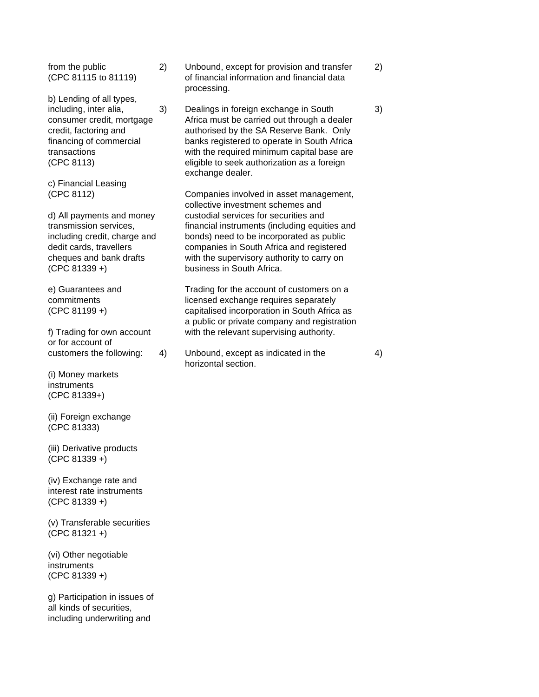b) Lending of all types,

c) Financial Leasing

(CPC 81339 +) business in South Africa.

or for account of

(i) Money markets instruments (CPC 81339+)

(ii) Foreign exchange (CPC 81333)

(iii) Derivative products (CPC 81339 +)

(iv) Exchange rate and interest rate instruments (CPC 81339 +)

(v) Transferable securities (CPC 81321 +)

(vi) Other negotiable instruments (CPC 81339 +)

g) Participation in issues of all kinds of securities, including underwriting and

- from the public 2) Unbound, except for provision and transfer 2) (CPC 81115 to 81119) of financial information and financial data processing.
- including, inter alia, 3) Dealings in foreign exchange in South 3) consumer credit, mortgage Africa must be carried out through a dealer credit, factoring and authorised by the SA Reserve Bank. Only financing of commercial banks registered to operate in South Africa transactions with the required minimum capital base are (CPC 8113) eligible to seek authorization as a foreign exchange dealer.

(CPC 8112) Companies involved in asset management, collective investment schemes and d) All payments and money custodial services for securities and transmission services, financial instruments (including equities and including credit, charge and bonds) need to be incorporated as public dedit cards, travellers companies in South Africa and registered cheques and bank drafts with the supervisory authority to carry on

e) Guarantees and Trading for the account of customers on a commitments licensed exchange requires separately (CPC 81199 +) capitalised incorporation in South Africa as a public or private company and registration f) Trading for own account with the relevant supervising authority.

customers the following: 4) Unbound, except as indicated in the 4) horizontal section.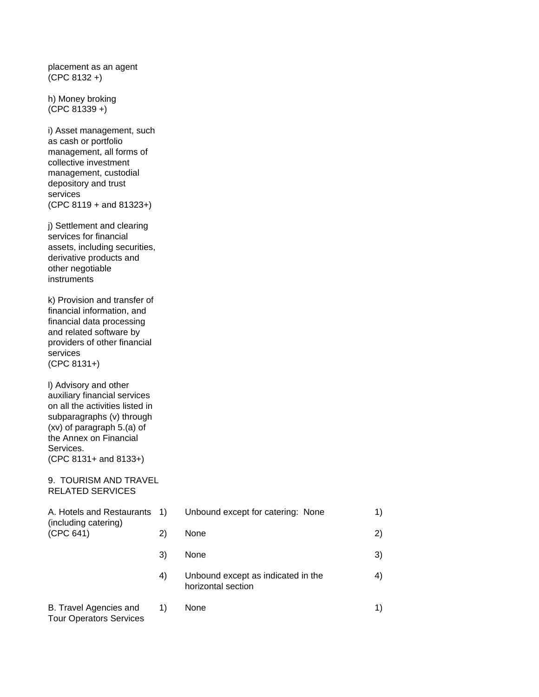placement as an agent (CPC 8132 +)

h) Money broking (CPC 81339 +)

i) Asset management, such as cash or portfolio management, all forms of collective investment management, custodial depository and trust services (CPC 8119 + and 81323+)

j) Settlement and clearing services for financial assets, including securities, derivative products and other negotiable instruments

k) Provision and transfer of financial information, and financial data processing and related software by providers of other financial services (CPC 8131+)

l) Advisory and other auxiliary financial services on all the activities listed in subparagraphs (v) through (xv) of paragraph 5.(a) of the Annex on Financial Services. (CPC 8131+ and 8133+)

#### 9. TOURISM AND TRAVEL RELATED SERVICES

| A. Hotels and Restaurants 1)<br>(including catering)     |    | Unbound except for catering: None                        | 1) |
|----------------------------------------------------------|----|----------------------------------------------------------|----|
| (CPC 641)                                                | 2) | None                                                     | 2) |
|                                                          | 3) | None                                                     | 3) |
|                                                          | 4) | Unbound except as indicated in the<br>horizontal section | 4) |
| B. Travel Agencies and<br><b>Tour Operators Services</b> | 1) | None                                                     | 1) |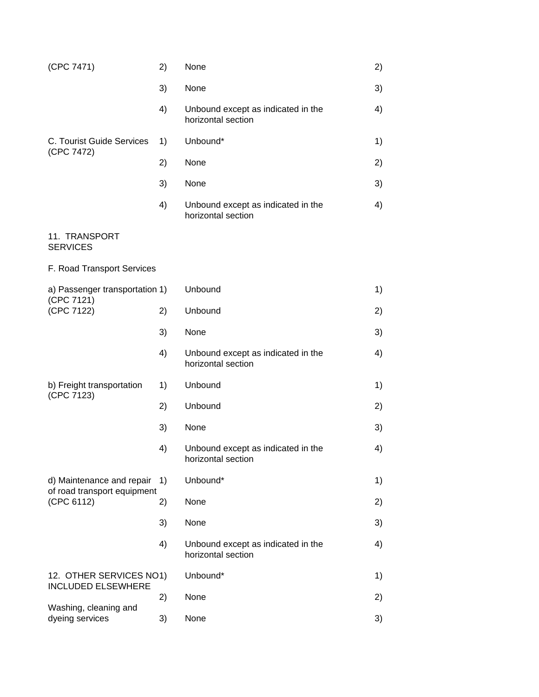| (CPC 7471)                                                             | 2) | None                                                     | 2) |
|------------------------------------------------------------------------|----|----------------------------------------------------------|----|
|                                                                        | 3) | None                                                     | 3) |
|                                                                        | 4) | Unbound except as indicated in the<br>horizontal section | 4) |
| C. Tourist Guide Services                                              | 1) | Unbound*                                                 | 1) |
| (CPC 7472)                                                             | 2) | None                                                     | 2) |
|                                                                        | 3) | None                                                     | 3) |
|                                                                        | 4) | Unbound except as indicated in the<br>horizontal section | 4) |
| 11. TRANSPORT<br><b>SERVICES</b>                                       |    |                                                          |    |
| F. Road Transport Services                                             |    |                                                          |    |
| a) Passenger transportation 1)                                         |    | Unbound                                                  | 1) |
| (CPC 7121)<br>(CPC 7122)                                               | 2) | Unbound                                                  | 2) |
|                                                                        | 3) | None                                                     | 3) |
|                                                                        | 4) | Unbound except as indicated in the<br>horizontal section | 4) |
| b) Freight transportation                                              | 1) | Unbound                                                  | 1) |
| (CPC 7123)                                                             | 2) | Unbound                                                  | 2) |
|                                                                        | 3) | None                                                     | 3) |
|                                                                        | 4) | Unbound except as indicated in the<br>horizontal section | 4) |
| d) Maintenance and repair<br>of road transport equipment<br>(CPC 6112) | 1) | Unbound*                                                 | 1) |
|                                                                        | 2) | None                                                     | 2) |
|                                                                        | 3) | None                                                     | 3) |
|                                                                        | 4) | Unbound except as indicated in the<br>horizontal section | 4) |
| 12. OTHER SERVICES NO1)                                                |    | Unbound*                                                 | 1) |
| <b>INCLUDED ELSEWHERE</b>                                              | 2) | None                                                     | 2) |
| Washing, cleaning and<br>dyeing services                               | 3) | None                                                     | 3) |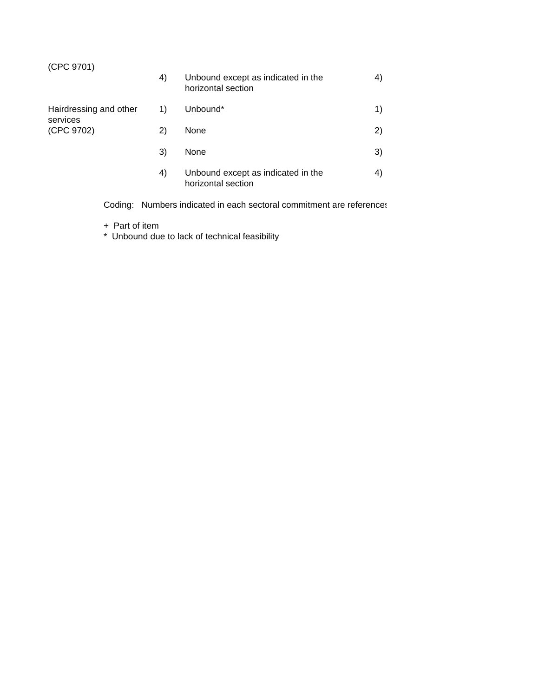# (CPC 9701)

|                                                  | 4) | Unbound except as indicated in the<br>horizontal section | 4) |
|--------------------------------------------------|----|----------------------------------------------------------|----|
| Hairdressing and other<br>services<br>(CPC 9702) | 1) | Unbound*                                                 | 1) |
|                                                  | 2) | None                                                     | 2) |
|                                                  | 3) | None                                                     | 3) |
|                                                  | 4) | Unbound except as indicated in the<br>horizontal section | 4) |

Coding: Numbers indicated in each sectoral commitment are references

- + Part of item
- \* Unbound due to lack of technical feasibility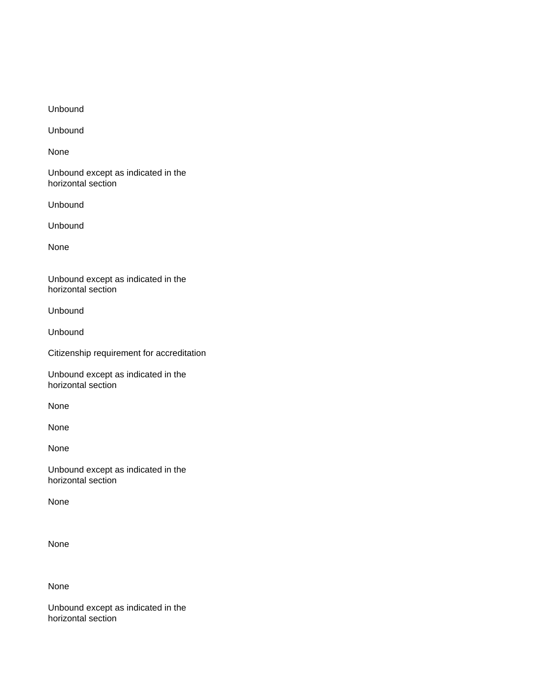Unbound

Unbound

None

Unbound except as indicated in the horizontal section

Unbound

Unbound

None

Unbound except as indicated in the horizontal section

Unbound

Unbound

Citizenship requirement for accreditation

Unbound except as indicated in the horizontal section

None

None

None

Unbound except as indicated in the horizontal section

None

None

None

Unbound except as indicated in the horizontal section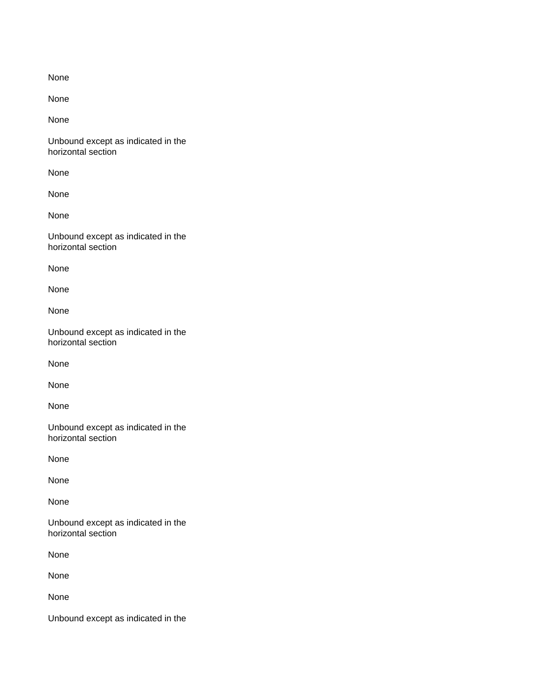None

None

Unbound except as indicated in the horizontal section

None

None

None

Unbound except as indicated in the horizontal section

None

None

None

Unbound except as indicated in the horizontal section

None

None

None

Unbound except as indicated in the horizontal section

None

None

None

Unbound except as indicated in the horizontal section

None

None

None

Unbound except as indicated in the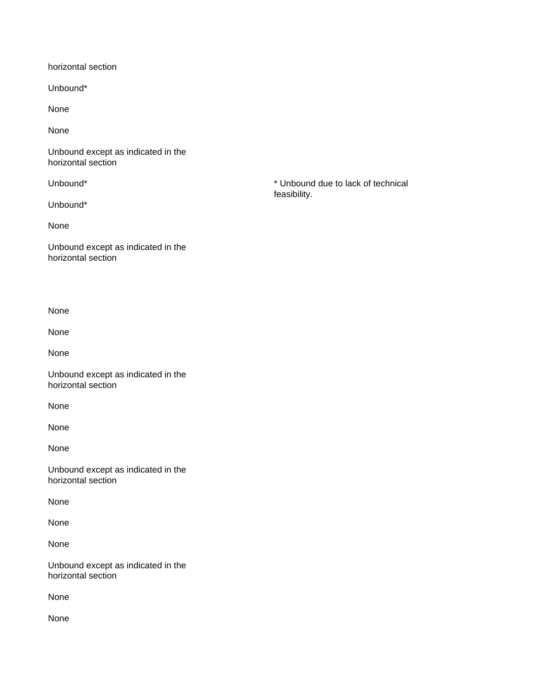horizontal section

Unbound\*

None

None

Unbound except as indicated in the horizontal section

Unbound\*

None

Unbound except as indicated in the horizontal section

None

None

None

Unbound except as indicated in the horizontal section

None

None

None

Unbound except as indicated in the horizontal section

None

None

None

Unbound except as indicated in the horizontal section

None

None

Unbound\* \* Unbound due to lack of technical feasibility.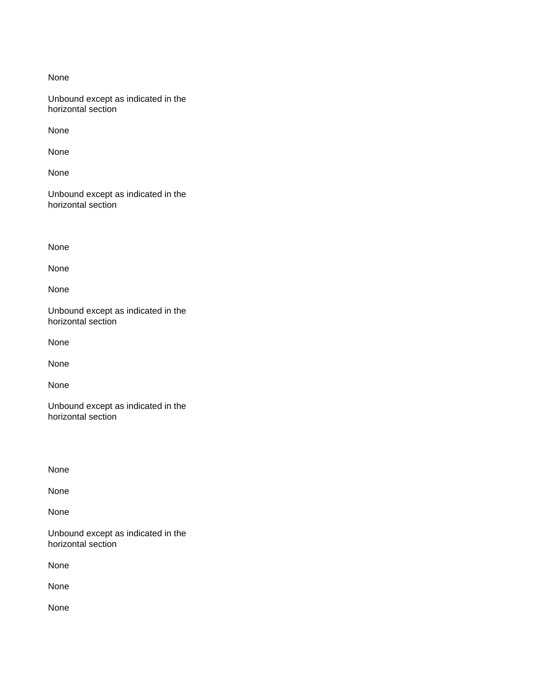Unbound except as indicated in the horizontal section

None

None

None

Unbound except as indicated in the horizontal section

None

None

None

Unbound except as indicated in the horizontal section

None

None

None

Unbound except as indicated in the horizontal section

None

None

None

Unbound except as indicated in the horizontal section

None

None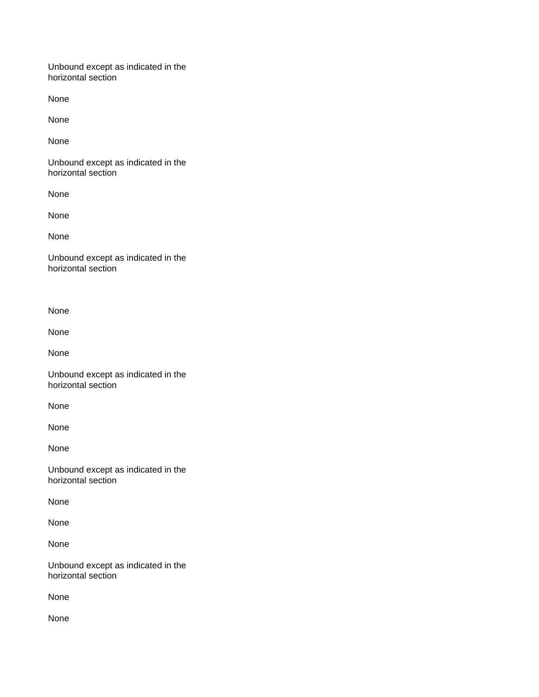Unbound except as indicated in the horizontal section

None

None

None

Unbound except as indicated in the horizontal section

None

None

None

Unbound except as indicated in the horizontal section

None

None

None

Unbound except as indicated in the horizontal section

None

None

None

Unbound except as indicated in the horizontal section

None

None

None

Unbound except as indicated in the horizontal section

None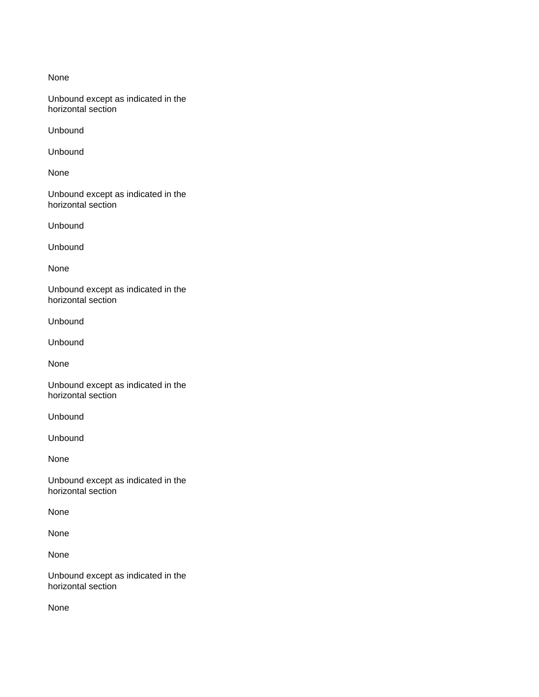Unbound except as indicated in the horizontal section

Unbound

Unbound

None

Unbound except as indicated in the horizontal section

Unbound

Unbound

None

Unbound except as indicated in the horizontal section

Unbound

Unbound

None

Unbound except as indicated in the horizontal section

Unbound

Unbound

None

Unbound except as indicated in the horizontal section

None

None

None

Unbound except as indicated in the horizontal section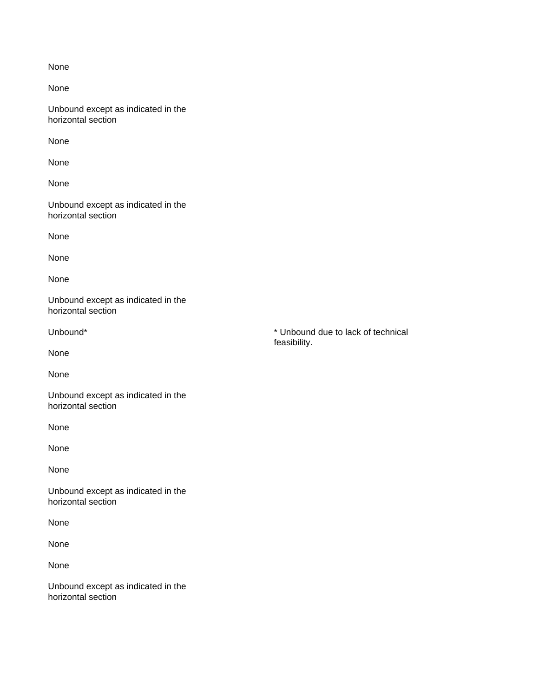None

Unbound except as indicated in the horizontal section

None

None

None

Unbound except as indicated in the horizontal section

None

None

None

Unbound except as indicated in the horizontal section

None

None

Unbound except as indicated in the horizontal section

None

None

None

Unbound except as indicated in the horizontal section

None

None

None

Unbound except as indicated in the horizontal section

Unbound\* **\*** Unbound due to lack of technical feasibility.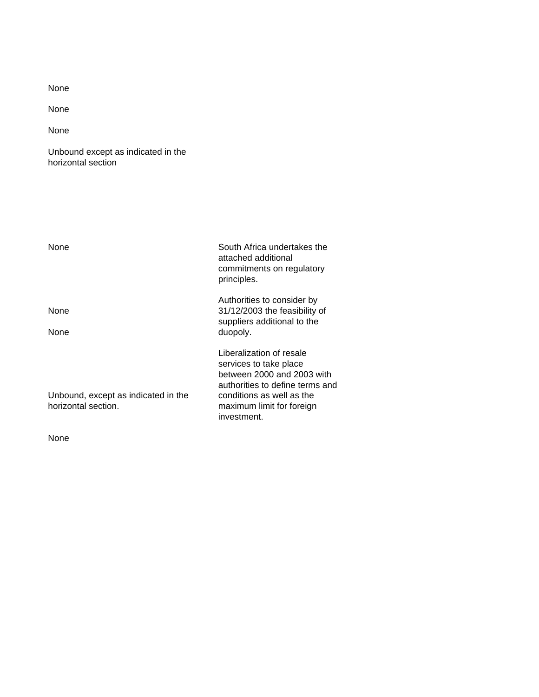None

None

Unbound except as indicated in the horizontal section

| None                                                       | South Africa undertakes the<br>attached additional<br>commitments on regulatory<br>principles.                                                                                               |
|------------------------------------------------------------|----------------------------------------------------------------------------------------------------------------------------------------------------------------------------------------------|
| None<br>None                                               | Authorities to consider by<br>31/12/2003 the feasibility of<br>suppliers additional to the<br>duopoly.                                                                                       |
| Unbound, except as indicated in the<br>horizontal section. | Liberalization of resale<br>services to take place<br>between 2000 and 2003 with<br>authorities to define terms and<br>conditions as well as the<br>maximum limit for foreign<br>investment. |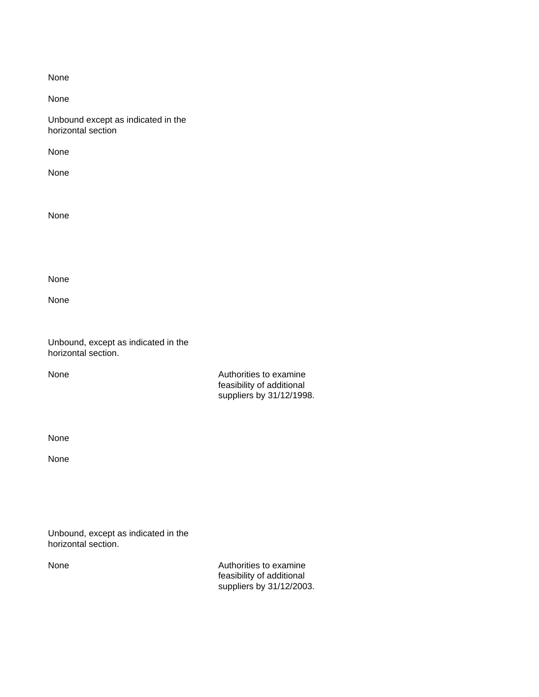| ×<br>×<br>۰,<br>۰. |  |
|--------------------|--|
|                    |  |

Unbound except as indicated in the horizontal section

None

None

None

None

None

Unbound, except as indicated in the horizontal section.

None **Authorities** to examine feasibility of additional suppliers by 31/12/1998.

None

None

Unbound, except as indicated in the horizontal section.

None **Authorities** to examine feasibility of additional suppliers by 31/12/2003.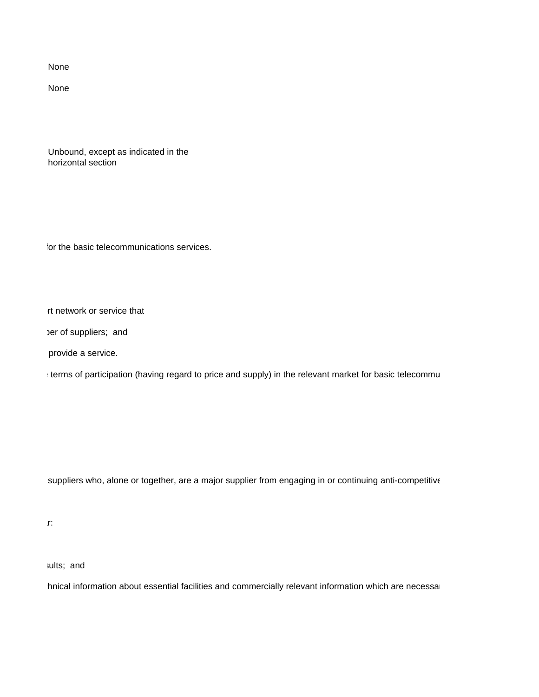None

Unbound, except as indicated in the horizontal section

for the basic telecommunications services.

rt network or service that

per of suppliers; and

provide a service.

terms of participation (having regard to price and supply) in the relevant market for basic telecommunication

suppliers who, alone or together, are a major supplier from engaging in or continuing anti-competitive

 $T$  and above shall include in particular:

sults; and

Innical information about essential facilities and commercially relevant information which are necessary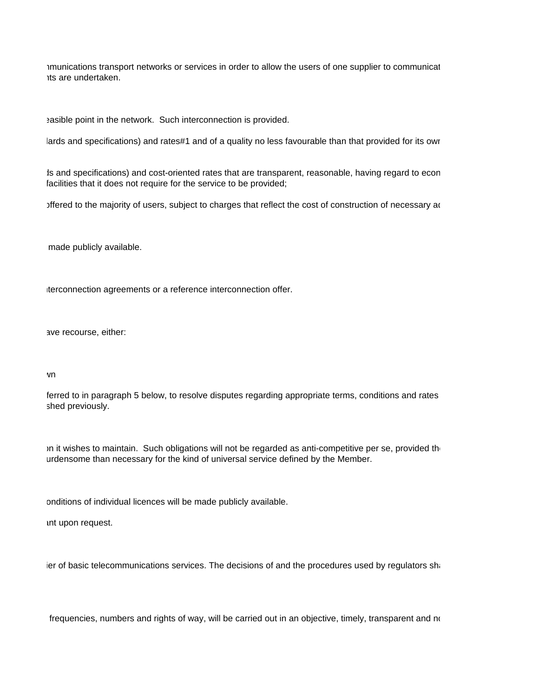imunications transport networks or services in order to allow the users of one supplier to communicat access undertaken.

easible point in the network. Such interconnection is provided.

lards and specifications) and rates#1 and of a quality no less favourable than that provided for its owr

Is and specifications) and cost-oriented rates that are transparent, reasonable, having regard to econ facilities that it does not require for the service to be provided;

offered to the majority of users, subject to charges that reflect the cost of construction of necessary additional facilities; and facilities; and facilities; and facilities; and facilities; and facilities; and facilities;

made publicly available.

Iterconnection agreements or a reference interconnection offer.

ave recourse, either:

#### $\mathsf{v}$  and  $\mathsf{v}$  and  $\mathsf{v}$  which has been made public between  $\mathsf{v}$

ferred to in paragraph 5 below, to resolve disputes regarding appropriate terms, conditions and rates shed previously.

In it wishes to maintain. Such obligations will not be regarded as anti-competitive per se, provided the urdensome than necessary for the kind of universal service defined by the Member.

onditions of individual licences will be made publicly available.

int upon request.

ier of basic telecommunications services. The decisions of and the procedures used by regulators sha

frequencies, numbers and rights of way, will be carried out in an objective, timely, transparent and no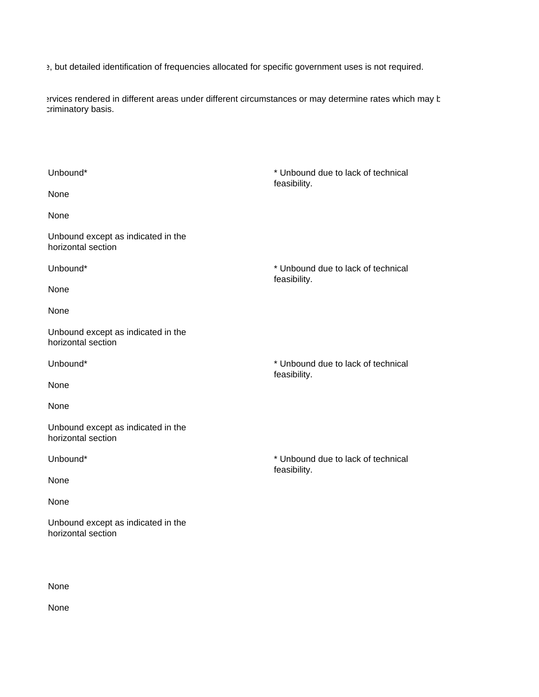et but detailed identification of frequencies allocated for specific government uses is not required.

ervices rendered in different areas under different circumstances or may determine rates which may b criminatory basis.

| Unbound*                                                 | * Unbound due to lack of technical<br>feasibility. |
|----------------------------------------------------------|----------------------------------------------------|
| None                                                     |                                                    |
| None                                                     |                                                    |
| Unbound except as indicated in the<br>horizontal section |                                                    |
| Unbound*                                                 | * Unbound due to lack of technical<br>feasibility. |
| None                                                     |                                                    |
| None                                                     |                                                    |
| Unbound except as indicated in the<br>horizontal section |                                                    |
| Unbound*                                                 | * Unbound due to lack of technical<br>feasibility. |
| None                                                     |                                                    |
| None                                                     |                                                    |
| Unbound except as indicated in the<br>horizontal section |                                                    |
| Unbound*                                                 | * Unbound due to lack of technical<br>feasibility. |
| None                                                     |                                                    |
| None                                                     |                                                    |
| Unbound except as indicated in the<br>horizontal section |                                                    |

None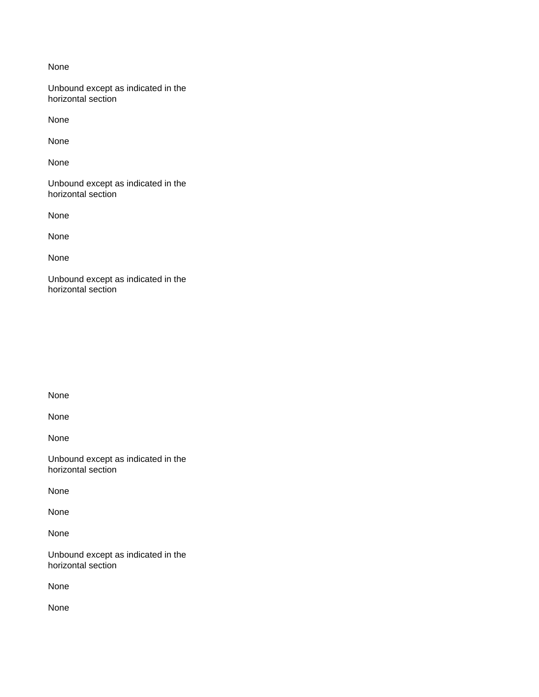Unbound except as indicated in the horizontal section

None

None

None

Unbound except as indicated in the horizontal section

None

None

None

Unbound except as indicated in the horizontal section

None

None

None

Unbound except as indicated in the horizontal section

None

None

None

Unbound except as indicated in the horizontal section

None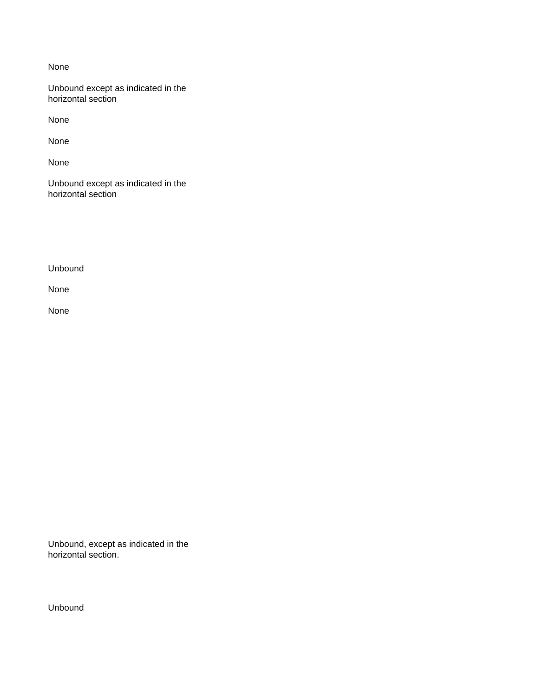Unbound except as indicated in the horizontal section

None

None

None

Unbound except as indicated in the horizontal section

Unbound

None

None

Unbound, except as indicated in the horizontal section.

Unbound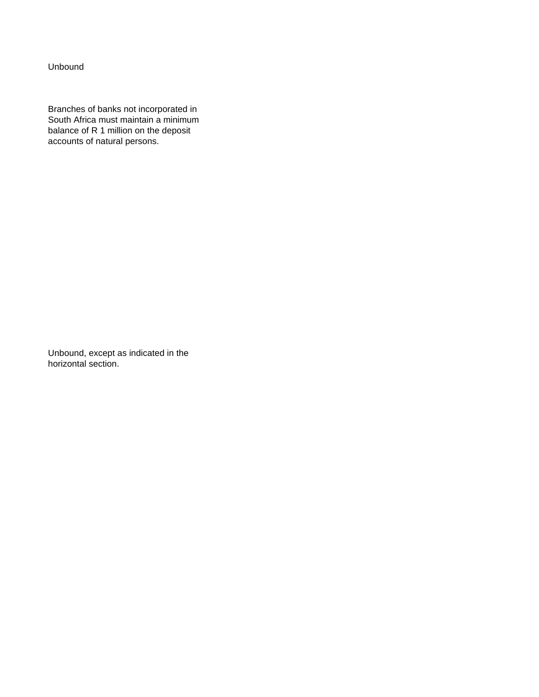Unbound

Branches of banks not incorporated in South Africa must maintain a minimum balance of R 1 million on the deposit accounts of natural persons.

Unbound, except as indicated in the horizontal section.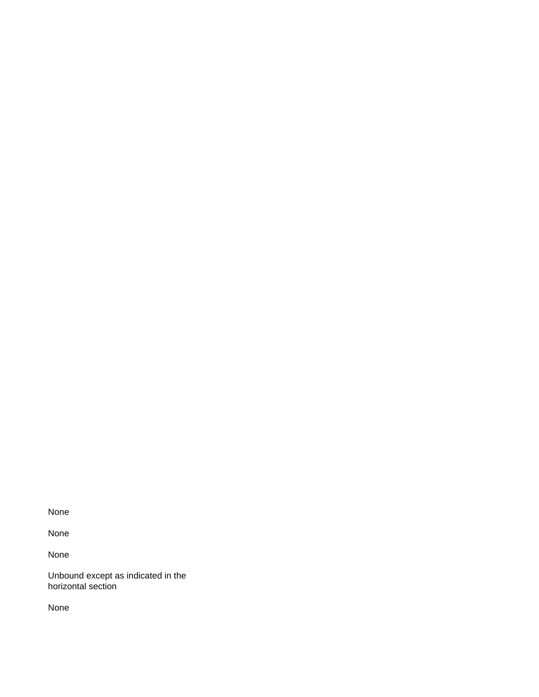None

None

Unbound except as indicated in the horizontal section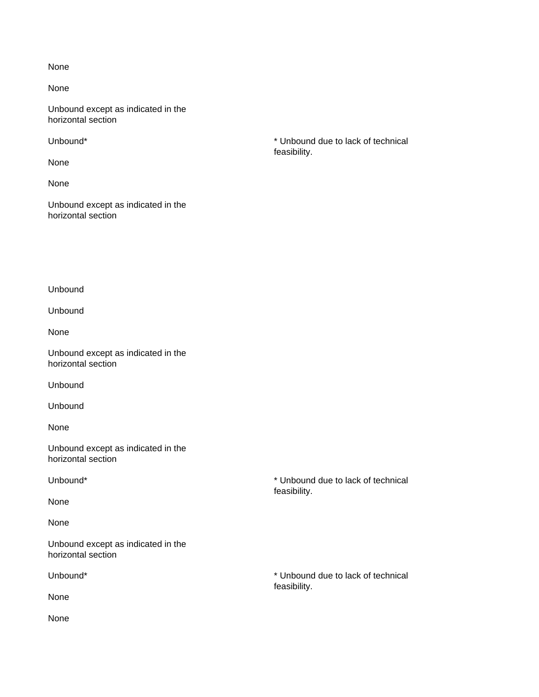None

Unbound except as indicated in the horizontal section

None

None

Unbound except as indicated in the horizontal section

Unbound\* \* Unbound due to lack of technical feasibility.

Unbound

Unbound

None

Unbound except as indicated in the horizontal section

Unbound

Unbound

None

Unbound except as indicated in the horizontal section

Unbound\* **\*** Unbound due to lack of technical

None

None

Unbound except as indicated in the horizontal section

None

Unbound\* **\*** Unbound due to lack of technical

feasibility.

feasibility.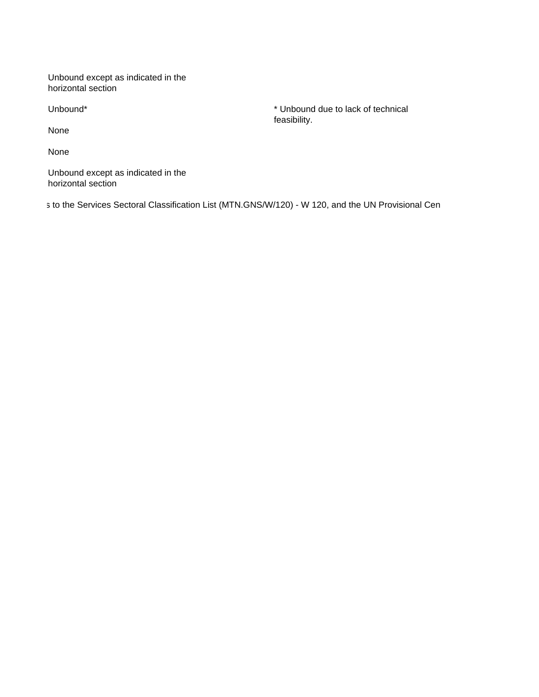Unbound except as indicated in the horizontal section

None

None

Unbound except as indicated in the horizontal section

s to the Services Sectoral Classification List (MTN.GNS/W/120) - W 120, and the UN Provisional Cen

Unbound\* \* Unbound due to lack of technical feasibility.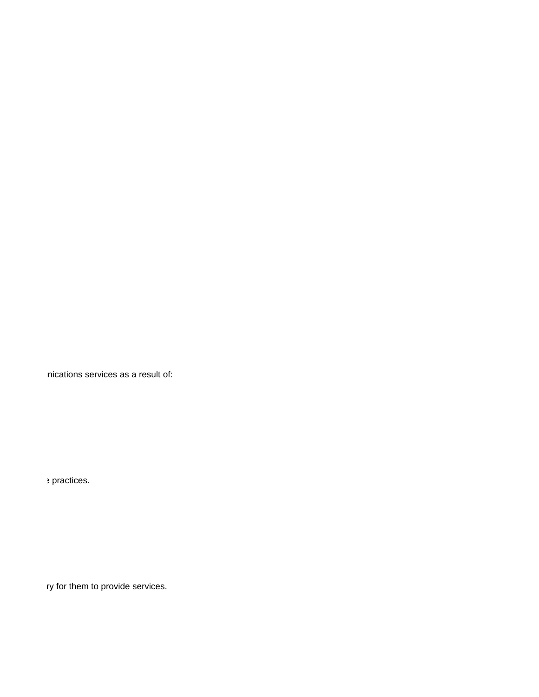mications services as a result of:

 $\rho$  is practices.

ry for them to provide services.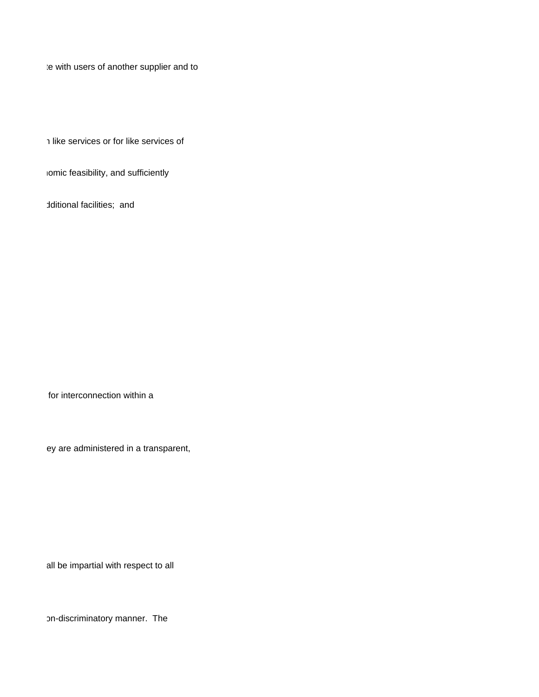te with users of another supplier and to

(a) under non-discriminatory terms, conditions (including technical standards and specifications) and rates#1 and of a quality no less favourable than that provided for its own like services or for like services of

iomic feasibility, and sufficiently

dditional facilities; and

for interconnection within a

ey are administered in a transparent,

all be impartial with respect to all

on-discriminatory manner. The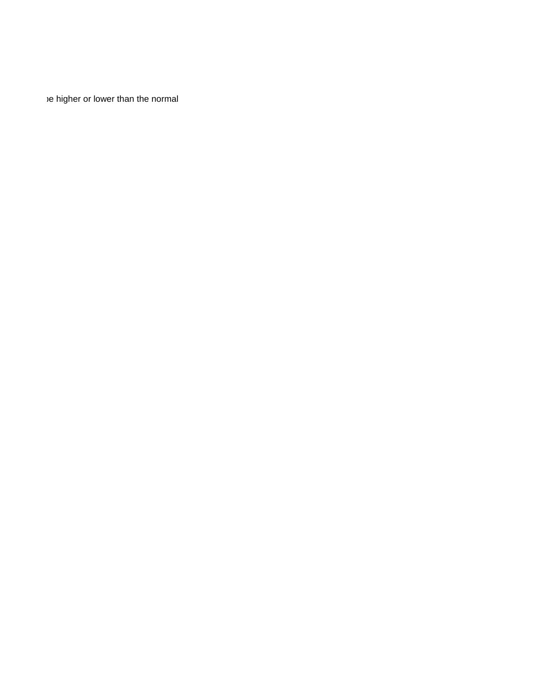e higher or lower than the normal